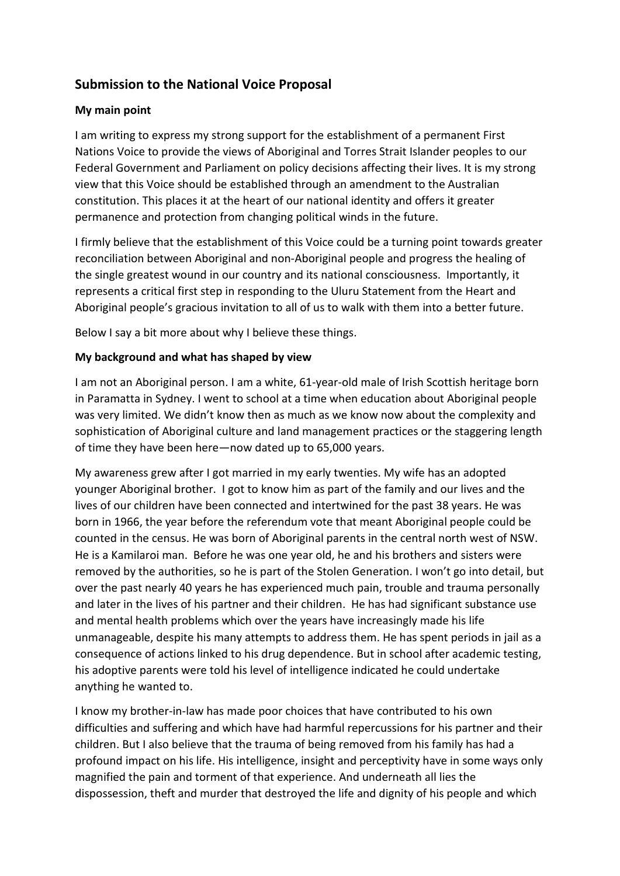## **Submission to the National Voice Proposal**

## **My main point**

I am writing to express my strong support for the establishment of a permanent First Nations Voice to provide the views of Aboriginal and Torres Strait Islander peoples to our Federal Government and Parliament on policy decisions affecting their lives. It is my strong view that this Voice should be established through an amendment to the Australian constitution. This places it at the heart of our national identity and offers it greater permanence and protection from changing political winds in the future.

I firmly believe that the establishment of this Voice could be a turning point towards greater reconciliation between Aboriginal and non-Aboriginal people and progress the healing of the single greatest wound in our country and its national consciousness. Importantly, it represents a critical first step in responding to the Uluru Statement from the Heart and Aboriginal people's gracious invitation to all of us to walk with them into a better future.

Below I say a bit more about why I believe these things.

## **My background and what has shaped by view**

I am not an Aboriginal person. I am a white, 61-year-old male of Irish Scottish heritage born in Paramatta in Sydney. I went to school at a time when education about Aboriginal people was very limited. We didn't know then as much as we know now about the complexity and sophistication of Aboriginal culture and land management practices or the staggering length of time they have been here—now dated up to 65,000 years.

My awareness grew after I got married in my early twenties. My wife has an adopted younger Aboriginal brother. I got to know him as part of the family and our lives and the lives of our children have been connected and intertwined for the past 38 years. He was born in 1966, the year before the referendum vote that meant Aboriginal people could be counted in the census. He was born of Aboriginal parents in the central north west of NSW. He is a Kamilaroi man. Before he was one year old, he and his brothers and sisters were removed by the authorities, so he is part of the Stolen Generation. I won't go into detail, but over the past nearly 40 years he has experienced much pain, trouble and trauma personally and later in the lives of his partner and their children. He has had significant substance use and mental health problems which over the years have increasingly made his life unmanageable, despite his many attempts to address them. He has spent periods in jail as a consequence of actions linked to his drug dependence. But in school after academic testing, his adoptive parents were told his level of intelligence indicated he could undertake anything he wanted to.

I know my brother-in-law has made poor choices that have contributed to his own difficulties and suffering and which have had harmful repercussions for his partner and their children. But I also believe that the trauma of being removed from his family has had a profound impact on his life. His intelligence, insight and perceptivity have in some ways only magnified the pain and torment of that experience. And underneath all lies the dispossession, theft and murder that destroyed the life and dignity of his people and which